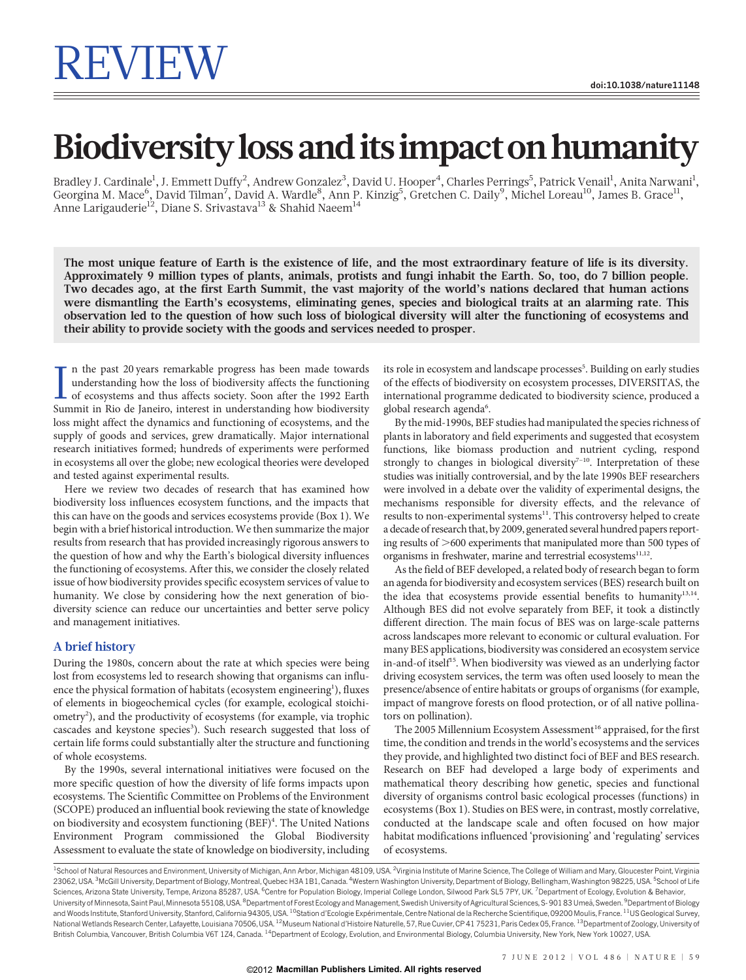# REVIEW

# Biodiversity loss and its impact on humanity

Bradley J. Cardinale<sup>1</sup>, J. Emmett Duffy<sup>2</sup>, Andrew Gonzalez<sup>3</sup>, David U. Hooper<sup>4</sup>, Charles Perrings<sup>5</sup>, Patrick Venail<sup>1</sup>, Anita Narwani<sup>1</sup>, Georgina M. Mace<sup>6</sup>, David Tilman<sup>7</sup>, David A. Wardle<sup>8</sup>, Ann P. Kinzig<sup>5</sup>, Gretchen C. Daily<sup>9</sup>, Michel Loreau<sup>10</sup>, James B. Grace<sup>11</sup>, Anne Larigauderie<sup>12</sup>, Diane S. Srivastava<sup>13</sup> & Shahid Naeem<sup>14</sup>

The most unique feature of Earth is the existence of life, and the most extraordinary feature of life is its diversity. Approximately 9 million types of plants, animals, protists and fungi inhabit the Earth. So, too, do 7 billion people. Two decades ago, at the first Earth Summit, the vast majority of the world's nations declared that human actions were dismantling the Earth's ecosystems, eliminating genes, species and biological traits at an alarming rate. This observation led to the question of how such loss of biological diversity will alter the functioning of ecosystems and their ability to provide society with the goods and services needed to prosper.

In the past 20 years remarkable progress has been made towards<br>understanding how the loss of biodiversity affects the functioning<br>of ecosystems and thus affects society. Soon after the 1992 Earth<br>Summit in Rio de Janeiro, n the past 20 years remarkable progress has been made towards understanding how the loss of biodiversity affects the functioning of ecosystems and thus affects society. Soon after the 1992 Earth loss might affect the dynamics and functioning of ecosystems, and the supply of goods and services, grew dramatically. Major international research initiatives formed; hundreds of experiments were performed in ecosystems all over the globe; new ecological theories were developed and tested against experimental results.

Here we review two decades of research that has examined how biodiversity loss influences ecosystem functions, and the impacts that this can have on the goods and services ecosystems provide (Box 1). We begin with a brief historical introduction. We then summarize the major results from research that has provided increasingly rigorous answers to the question of how and why the Earth's biological diversity influences the functioning of ecosystems. After this, we consider the closely related issue of how biodiversity provides specific ecosystem services of value to humanity. We close by considering how the next generation of biodiversity science can reduce our uncertainties and better serve policy and management initiatives.

#### A brief history

During the 1980s, concern about the rate at which species were being lost from ecosystems led to research showing that organisms can influence the physical formation of habitats (ecosystem engineering<sup>1</sup>), fluxes of elements in biogeochemical cycles (for example, ecological stoichiometry<sup>2</sup>), and the productivity of ecosystems (for example, via trophic cascades and keystone species<sup>3</sup>). Such research suggested that loss of certain life forms could substantially alter the structure and functioning of whole ecosystems.

By the 1990s, several international initiatives were focused on the more specific question of how the diversity of life forms impacts upon ecosystems. The Scientific Committee on Problems of the Environment (SCOPE) produced an influential book reviewing the state of knowledge on biodiversity and ecosystem functioning (BEF)<sup>4</sup>. The United Nations Environment Program commissioned the Global Biodiversity Assessment to evaluate the state of knowledge on biodiversity, including

its role in ecosystem and landscape processes<sup>5</sup>. Building on early studies of the effects of biodiversity on ecosystem processes, DIVERSITAS, the international programme dedicated to biodiversity science, produced a global research agenda<sup>6</sup>.

By the mid-1990s, BEF studies had manipulated the species richness of plants in laboratory and field experiments and suggested that ecosystem functions, like biomass production and nutrient cycling, respond strongly to changes in biological diversity<sup>7-10</sup>. Interpretation of these studies was initially controversial, and by the late 1990s BEF researchers were involved in a debate over the validity of experimental designs, the mechanisms responsible for diversity effects, and the relevance of results to non-experimental systems<sup>11</sup>. This controversy helped to create a decade of research that, by 2009, generated several hundred papers reporting results of  $>600$  experiments that manipulated more than 500 types of organisms in freshwater, marine and terrestrial ecosystems<sup>11,12</sup>.

As the field of BEF developed, a related body of research began to form an agenda for biodiversity and ecosystem services (BES) research built on the idea that ecosystems provide essential benefits to humanity $13,14$ . Although BES did not evolve separately from BEF, it took a distinctly different direction. The main focus of BES was on large-scale patterns across landscapes more relevant to economic or cultural evaluation. For many BES applications, biodiversity was considered an ecosystem service in-and-of itself<sup>15</sup>. When biodiversity was viewed as an underlying factor driving ecosystem services, the term was often used loosely to mean the presence/absence of entire habitats or groups of organisms (for example, impact of mangrove forests on flood protection, or of all native pollinators on pollination).

The 2005 Millennium Ecosystem Assessment<sup>16</sup> appraised, for the first time, the condition and trends in the world's ecosystems and the services they provide, and highlighted two distinct foci of BEF and BES research. Research on BEF had developed a large body of experiments and mathematical theory describing how genetic, species and functional diversity of organisms control basic ecological processes (functions) in ecosystems (Box 1). Studies on BES were, in contrast, mostly correlative, conducted at the landscape scale and often focused on how major habitat modifications influenced 'provisioning' and 'regulating' services of ecosystems.

<sup>1</sup>School of Natural Resources and Environment, University of Michigan, Ann Arbor, Michigan 48109, USA. <sup>2</sup>Virginia Institute of Marine Science, The College of William and Mary, Gloucester Point, Virginia 23062, USA. <sup>3</sup>McGill University, Department of Biology, Montreal, Quebec H3A 1B1, Canada. <sup>4</sup>Western Washington University, Department of Biology, Bellingham, Washington 98225, USA. <sup>5</sup>School of Life Sciences, Arizona State University, Tempe, Arizona 85287, USA. <sup>6</sup>Centre for Population Biology, Imperial College London, Silwood Park SL5 7PY, UK. <sup>7</sup>Department of Ecology, Evolution & Behavior University of Minnesota, Saint Paul, Minnesota 55108, USA. <sup>8</sup>Department of Forest Ecology and Management, Swedish University of Agricultural Sciences, S-901 83 Umeå, Sweden. <sup>9</sup>Department of Biology and Woods Institute, Stanford University, Stanford, California 94305, USA. <sup>10</sup>Station d'Ecologie Expérimentale, Centre National de la Recherche Scientifique, 09200 Moulis, France. <sup>11</sup>US Geological Survey National Wetlands Research Center, Lafayette, Louisiana 70506, USA. <sup>12</sup>Museum National d'Histoire Naturelle, 57, Rue Cuvier, CP 41 75231, Paris Cedex 05, France. <sup>13</sup>Department of Zoology, University of British Columbia, Vancouver, British Columbia V6T 124, Canada. <sup>14</sup>Department of Ecology, Evolution, and Environmental Biology, Columbia University, New York, New York 10027, USA.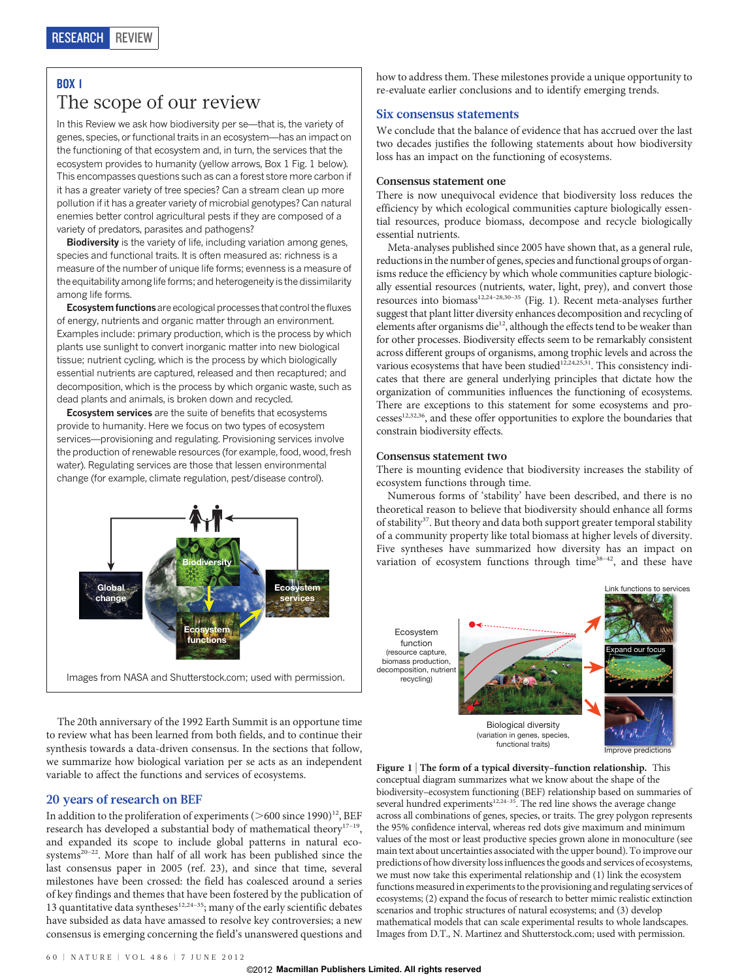### BOX 1 The scope of our review

In this Review we ask how biodiversity per se—that is, the variety of genes, species, or functional traits in an ecosystem—has an impact on the functioning of that ecosystem and, in turn, the services that the ecosystem provides to humanity (yellow arrows, Box 1 Fig. 1 below). This encompasses questions such as can a forest store more carbon if it has a greater variety of tree species? Can a stream clean up more pollution if it has a greater variety of microbial genotypes? Can natural enemies better control agricultural pests if they are composed of a variety of predators, parasites and pathogens?

**Biodiversity** is the variety of life, including variation among genes, species and functional traits. It is often measured as: richness is a measure of the number of unique life forms; evenness is a measure of the equitability among life forms; and heterogeneity is the dissimilarity among life forms.

Ecosystem functions are ecological processes that control the fluxes of energy, nutrients and organic matter through an environment. Examples include: primary production, which is the process by which plants use sunlight to convert inorganic matter into new biological tissue; nutrient cycling, which is the process by which biologically essential nutrients are captured, released and then recaptured; and decomposition, which is the process by which organic waste, such as dead plants and animals, is broken down and recycled.

Ecosystem services are the suite of benefits that ecosystems provide to humanity. Here we focus on two types of ecosystem services—provisioning and regulating. Provisioning services involve the production of renewable resources (for example, food, wood, fresh water). Regulating services are those that lessen environmental change (for example, climate regulation, pest/disease control).



The 20th anniversary of the 1992 Earth Summit is an opportune time to review what has been learned from both fields, and to continue their synthesis towards a data-driven consensus. In the sections that follow, we summarize how biological variation per se acts as an independent variable to affect the functions and services of ecosystems.

#### 20 years of research on BEF

In addition to the proliferation of experiments ( $>$ 600 since 1990)<sup>12</sup>, BEF research has developed a substantial body of mathematical theory<sup>17-19</sup>, and expanded its scope to include global patterns in natural ecosystems $20-22$ . More than half of all work has been published since the last consensus paper in 2005 (ref. 23), and since that time, several milestones have been crossed: the field has coalesced around a series of key findings and themes that have been fostered by the publication of 13 quantitative data syntheses<sup>12,24-35</sup>; many of the early scientific debates have subsided as data have amassed to resolve key controversies; a new consensus is emerging concerning the field's unanswered questions and

we must now take this experimental relationship and (1) link the ecosystem scenarios and trophic structures of natural ecosystems; and (3) develop

how to address them. These milestones provide a unique opportunity to re-evaluate earlier conclusions and to identify emerging trends.

#### Six consensus statements

We conclude that the balance of evidence that has accrued over the last two decades justifies the following statements about how biodiversity loss has an impact on the functioning of ecosystems.

#### Consensus statement one

There is now unequivocal evidence that biodiversity loss reduces the efficiency by which ecological communities capture biologically essential resources, produce biomass, decompose and recycle biologically essential nutrients.

Meta-analyses published since 2005 have shown that, as a general rule, reductions in the number of genes, species and functional groups of organisms reduce the efficiency by which whole communities capture biologically essential resources (nutrients, water, light, prey), and convert those resources into biomass<sup>12,24–28,30–35</sup> (Fig. 1). Recent meta-analyses further suggest that plant litter diversity enhances decomposition and recycling of elements after organisms die<sup>12</sup>, although the effects tend to be weaker than for other processes. Biodiversity effects seem to be remarkably consistent across different groups of organisms, among trophic levels and across the various ecosystems that have been studied $\frac{g^{2,24,25,31}}{g^{2,24,25,31}}$ . This consistency indicates that there are general underlying principles that dictate how the organization of communities influences the functioning of ecosystems. There are exceptions to this statement for some ecosystems and processes12,32,36, and these offer opportunities to explore the boundaries that constrain biodiversity effects.

#### Consensus statement two

There is mounting evidence that biodiversity increases the stability of ecosystem functions through time.

Numerous forms of 'stability' have been described, and there is no theoretical reason to believe that biodiversity should enhance all forms of stability<sup>37</sup>. But theory and data both support greater temporal stability of a community property like total biomass at higher levels of diversity. Five syntheses have summarized how diversity has an impact on variation of ecosystem functions through time<sup>38-42</sup>, and these have



Figure 1 | The form of a typical diversity-function relationship. This conceptual diagram summarizes what we know about the shape of the biodiversity–ecosystem functioning (BEF) relationship based on summaries of several hundred experiments<sup>12,24-35</sup>. The red line shows the average change across all combinations of genes, species, or traits. The grey polygon represents the 95% confidence interval, whereas red dots give maximum and minimum values of the most or least productive species grown alone in monoculture (see main text about uncertainties associated with the upper bound). To improve our predictions of how diversity loss influences the goods and services of ecosystems, functions measured in experiments to the provisioning and regulating services of ecosystems; (2) expand the focus of research to better mimic realistic extinction mathematical models that can scale experimental results to whole landscapes. Images from D.T., N. Martinez and [Shutterstock.com;](http://dx.doi.org/10.1038/nature11118) used with permission.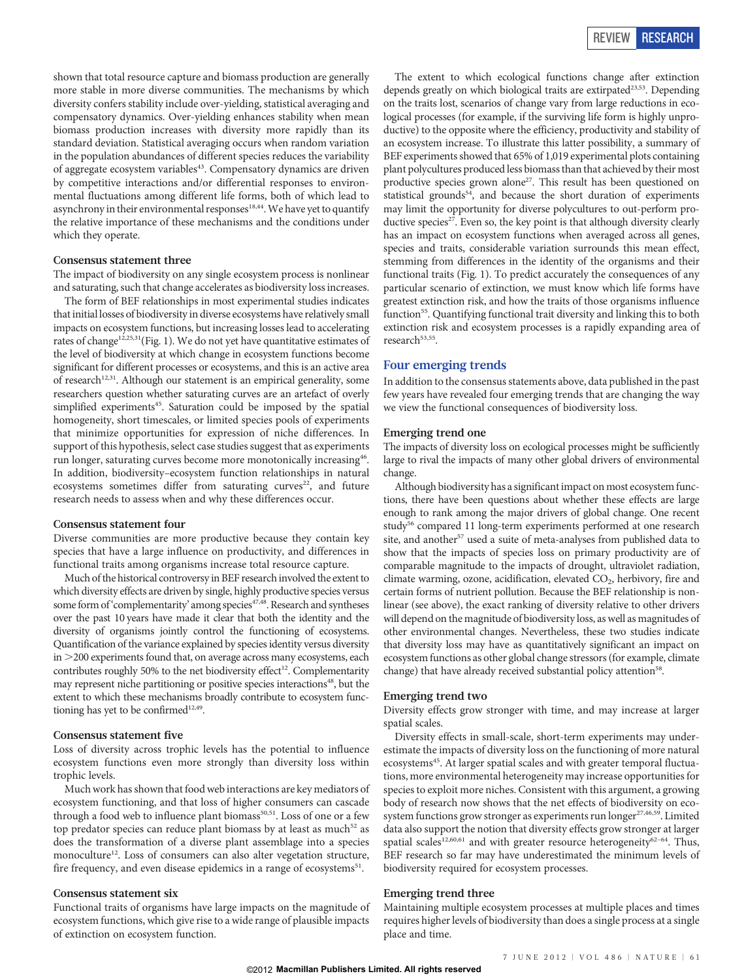shown that total resource capture and biomass production are generally more stable in more diverse communities. The mechanisms by which diversity confers stability include over-yielding, statistical averaging and compensatory dynamics. Over-yielding enhances stability when mean biomass production increases with diversity more rapidly than its standard deviation. Statistical averaging occurs when random variation in the population abundances of different species reduces the variability of aggregate ecosystem variables<sup>43</sup>. Compensatory dynamics are driven by competitive interactions and/or differential responses to environmental fluctuations among different life forms, both of which lead to asynchrony in their environmental responses<sup>18,44</sup>. We have yet to quantify the relative importance of these mechanisms and the conditions under which they operate.

#### Consensus statement three

The impact of biodiversity on any single ecosystem process is nonlinear and saturating, such that change accelerates as biodiversity loss increases.

The form of BEF relationships in most experimental studies indicates that initial losses of biodiversity in diverse ecosystems have relatively small impacts on ecosystem functions, but increasing losses lead to accelerating rates of change<sup>12,25,31</sup>(Fig. 1). We do not yet have quantitative estimates of the level of biodiversity at which change in ecosystem functions become significant for different processes or ecosystems, and this is an active area of research<sup>12,31</sup>. Although our statement is an empirical generality, some researchers question whether saturating curves are an artefact of overly simplified experiments<sup>45</sup>. Saturation could be imposed by the spatial homogeneity, short timescales, or limited species pools of experiments that minimize opportunities for expression of niche differences. In support of this hypothesis, select case studies suggest that as experiments run longer, saturating curves become more monotonically increasing<sup>46</sup>. In addition, biodiversity–ecosystem function relationships in natural ecosystems sometimes differ from saturating curves<sup>22</sup>, and future research needs to assess when and why these differences occur.

#### Consensus statement four

Diverse communities are more productive because they contain key species that have a large influence on productivity, and differences in functional traits among organisms increase total resource capture.

Much of the historical controversy in BEF research involved the extent to which diversity effects are driven by single, highly productive species versus some form of 'complementarity' among species<sup>47,48</sup>. Research and syntheses over the past 10 years have made it clear that both the identity and the diversity of organisms jointly control the functioning of ecosystems. Quantification of the variance explained by species identity versus diversity  $in$   $>$  200 experiments found that, on average across many ecosystems, each contributes roughly 50% to the net biodiversity effect<sup>12</sup>. Complementarity may represent niche partitioning or positive species interactions<sup>48</sup>, but the extent to which these mechanisms broadly contribute to ecosystem functioning has yet to be confirmed $12,49$ .

#### Consensus statement five

Loss of diversity across trophic levels has the potential to influence ecosystem functions even more strongly than diversity loss within trophic levels.

Much work has shown that food web interactions are key mediators of ecosystem functioning, and that loss of higher consumers can cascade through a food web to influence plant biomass<sup>50,51</sup>. Loss of one or a few top predator species can reduce plant biomass by at least as much<sup>52</sup> as does the transformation of a diverse plant assemblage into a species monoculture<sup>12</sup>. Loss of consumers can also alter vegetation structure, fire frequency, and even disease epidemics in a range of ecosystems<sup>51</sup>.

#### Consensus statement six

Functional traits of organisms have large impacts on the magnitude of ecosystem functions, which give rise to a wide range of plausible impacts of extinction on ecosystem function.

The extent to which ecological functions change after extinction depends greatly on which biological traits are extirpated<sup>23,53</sup>. Depending on the traits lost, scenarios of change vary from large reductions in ecological processes (for example, if the surviving life form is highly unproductive) to the opposite where the efficiency, productivity and stability of an ecosystem increase. To illustrate this latter possibility, a summary of BEF experiments showed that 65% of 1,019 experimental plots containing plant polycultures produced less biomass than that achieved by their most productive species grown alone<sup>27</sup>. This result has been questioned on statistical grounds<sup>54</sup>, and because the short duration of experiments may limit the opportunity for diverse polycultures to out-perform productive species<sup>27</sup>. Even so, the key point is that although diversity clearly has an impact on ecosystem functions when averaged across all genes, species and traits, considerable variation surrounds this mean effect, stemming from differences in the identity of the organisms and their functional traits (Fig. 1). To predict accurately the consequences of any particular scenario of extinction, we must know which life forms have greatest extinction risk, and how the traits of those organisms influence function<sup>55</sup>. Quantifying functional trait diversity and linking this to both extinction risk and ecosystem processes is a rapidly expanding area of research<sup>53,55</sup>.

#### Four emerging trends

In addition to the consensus statements above, data published in the past few years have revealed four emerging trends that are changing the way we view the functional consequences of biodiversity loss.

#### Emerging trend one

The impacts of diversity loss on ecological processes might be sufficiently large to rival the impacts of many other global drivers of environmental change.

Although biodiversity has a significant impact on most ecosystem functions, there have been questions about whether these effects are large enough to rank among the major drivers of global change. One recent study<sup>56</sup> compared 11 long-term experiments performed at one research site, and another<sup>57</sup> used a suite of meta-analyses from published data to show that the impacts of species loss on primary productivity are of comparable magnitude to the impacts of drought, ultraviolet radiation, climate warming, ozone, acidification, elevated CO<sub>2</sub>, herbivory, fire and certain forms of nutrient pollution. Because the BEF relationship is nonlinear (see above), the exact ranking of diversity relative to other drivers will depend on the magnitude of biodiversity loss, as well as magnitudes of other environmental changes. Nevertheless, these two studies indicate that diversity loss may have as quantitatively significant an impact on ecosystem functions as other global change stressors (for example, climate change) that have already received substantial policy attention<sup>58</sup>.

#### Emerging trend two

Diversity effects grow stronger with time, and may increase at larger spatial scales.

Diversity effects in small-scale, short-term experiments may underestimate the impacts of diversity loss on the functioning of more natural ecosystems<sup>45</sup>. At larger spatial scales and with greater temporal fluctuations, more environmental heterogeneity may increase opportunities for species to exploit more niches. Consistent with this argument, a growing body of research now shows that the net effects of biodiversity on ecosystem functions grow stronger as experiments run longer $^{27,46,59}$ . Limited data also support the notion that diversity effects grow stronger at larger spatial scales<sup>12,60,61</sup> and with greater resource heterogeneity<sup>62-64</sup>. Thus, BEF research so far may have underestimated the minimum levels of biodiversity required for ecosystem processes.

#### Emerging trend three

Maintaining multiple ecosystem processes at multiple places and times requires higher levels of biodiversity than does a single process at a single place and time.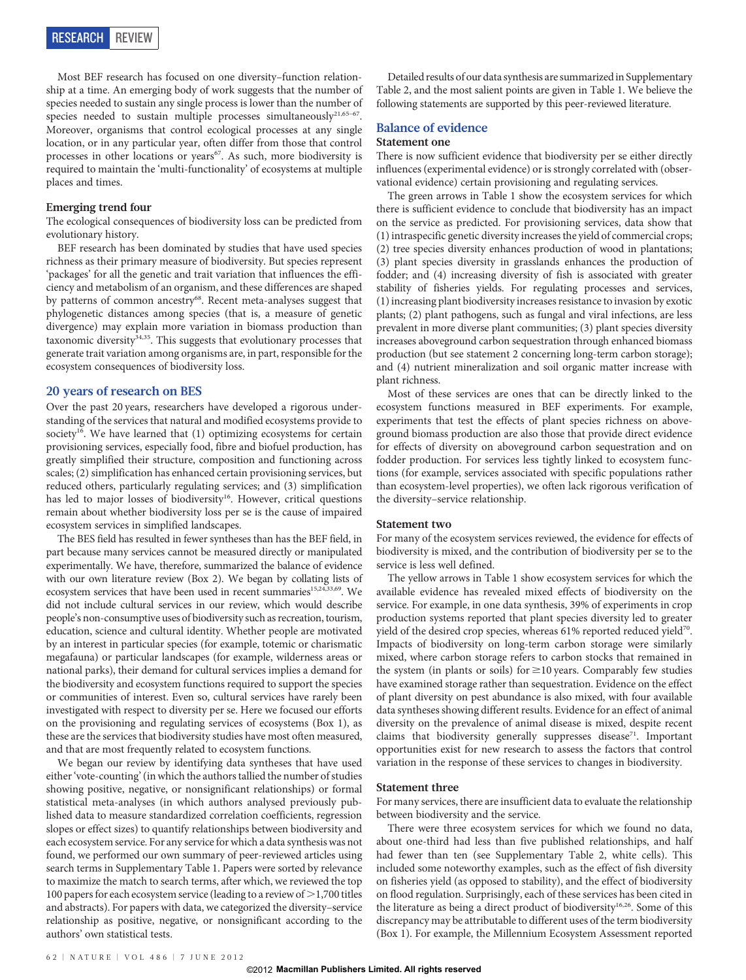Most BEF research has focused on one diversity–function relationship at a time. An emerging body of work suggests that the number of species needed to sustain any single process is lower than the number of species needed to sustain multiple processes simultaneously $21,65-67$ . Moreover, organisms that control ecological processes at any single location, or in any particular year, often differ from those that control processes in other locations or years<sup>67</sup>. As such, more biodiversity is required to maintain the 'multi-functionality' of ecosystems at multiple places and times.

#### Emerging trend four

The ecological consequences of biodiversity loss can be predicted from evolutionary history.

BEF research has been dominated by studies that have used species richness as their primary measure of biodiversity. But species represent 'packages' for all the genetic and trait variation that influences the efficiency and metabolism of an organism, and these differences are shaped by patterns of common ancestry<sup>68</sup>. Recent meta-analyses suggest that phylogenetic distances among species (that is, a measure of genetic divergence) may explain more variation in biomass production than taxonomic diversity<sup>34,35</sup>. This suggests that evolutionary processes that generate trait variation among organisms are, in part, responsible for the ecosystem consequences of biodiversity loss.

#### 20 years of research on BES

Over the past 20 years, researchers have developed a rigorous understanding of the services that natural and modified ecosystems provide to society<sup>16</sup>. We have learned that  $(1)$  optimizing ecosystems for certain provisioning services, especially food, fibre and biofuel production, has greatly simplified their structure, composition and functioning across scales; (2) simplification has enhanced certain provisioning services, but reduced others, particularly regulating services; and (3) simplification has led to major losses of biodiversity<sup>16</sup>. However, critical questions remain about whether biodiversity loss per se is the cause of impaired ecosystem services in simplified landscapes.

The BES field has resulted in fewer syntheses than has the BEF field, in part because many services cannot be measured directly or manipulated experimentally. We have, therefore, summarized the balance of evidence with our own literature review (Box 2). We began by collating lists of ecosystem services that have been used in recent summaries<sup>15,24,33,69</sup>. We did not include cultural services in our review, which would describe people's non-consumptive uses of biodiversity such as recreation, tourism, education, science and cultural identity. Whether people are motivated by an interest in particular species (for example, totemic or charismatic megafauna) or particular landscapes (for example, wilderness areas or national parks), their demand for cultural services implies a demand for the biodiversity and ecosystem functions required to support the species or communities of interest. Even so, cultural services have rarely been investigated with respect to diversity per se. Here we focused our efforts on the provisioning and regulating services of ecosystems (Box 1), as these are the services that biodiversity studies have most often measured, and that are most frequently related to ecosystem functions.

We began our review by identifying data syntheses that have used either 'vote-counting' (in which the authors tallied the number of studies showing positive, negative, or nonsignificant relationships) or formal statistical meta-analyses (in which authors analysed previously published data to measure standardized correlation coefficients, regression slopes or effect sizes) to quantify relationships between biodiversity and each ecosystem service. For any service for which a data synthesis was not found, we performed our own summary of peer-reviewed articles using search terms in Supplementary Table 1. Papers were sorted by relevance to maximize the match to search terms, after which, we reviewed the top 100 papers for each ecosystem service (leading to a review of  $>$ 1,700 titles and abstracts). For papers with data, we categorized the diversity–service relationship as positive, negative, or nonsignificant according to the authors' own statistical tests.

Detailed results of our data synthesis are summarized in Supplementary Table 2, and the most salient points are given in Table 1. We believe the following statements are supported by this peer-reviewed literature.

#### Balance of evidence

#### Statement one

There is now sufficient evidence that biodiversity per se either directly influences (experimental evidence) or is strongly correlated with (observational evidence) certain provisioning and regulating services.

The green arrows in Table 1 show the ecosystem services for which there is sufficient evidence to conclude that biodiversity has an impact on the service as predicted. For provisioning services, data show that (1) intraspecific genetic diversity increases the yield of commercial crops; (2) tree species diversity enhances production of wood in plantations; (3) plant species diversity in grasslands enhances the production of fodder; and (4) increasing diversity of fish is associated with greater stability of fisheries yields. For regulating processes and services, (1) increasing plant biodiversity increases resistance to invasion by exotic plants; (2) plant pathogens, such as fungal and viral infections, are less prevalent in more diverse plant communities; (3) plant species diversity increases aboveground carbon sequestration through enhanced biomass production (but see statement 2 concerning long-term carbon storage); and (4) nutrient mineralization and soil organic matter increase with plant richness.

Most of these services are ones that can be directly linked to the ecosystem functions measured in BEF experiments. For example, experiments that test the effects of plant species richness on aboveground biomass production are also those that provide direct evidence for effects of diversity on aboveground carbon sequestration and on fodder production. For services less tightly linked to ecosystem functions (for example, services associated with specific populations rather than ecosystem-level properties), we often lack rigorous verification of the diversity–service relationship.

#### Statement two

For many of the ecosystem services reviewed, the evidence for effects of biodiversity is mixed, and the contribution of biodiversity per se to the service is less well defined.

The yellow arrows in Table 1 show ecosystem services for which the available evidence has revealed mixed effects of biodiversity on the service. For example, in one data synthesis, 39% of experiments in crop production systems reported that plant species diversity led to greater yield of the desired crop species, whereas 61% reported reduced yield<sup>70</sup>. Impacts of biodiversity on long-term carbon storage were similarly mixed, where carbon storage refers to carbon stocks that remained in the system (in plants or soils) for  $\geq$  10 years. Comparably few studies have examined storage rather than sequestration. Evidence on the effect of plant diversity on pest abundance is also mixed, with four available data syntheses showing different results. Evidence for an effect of animal diversity on the prevalence of animal disease is mixed, despite recent claims that biodiversity generally suppresses disease<sup>71</sup>. Important opportunities exist for new research to assess the factors that control variation in the response of these services to changes in biodiversity.

#### Statement three

For many services, there are insufficient data to evaluate the relationship between biodiversity and the service.

There were three ecosystem services for which we found no data, about one-third had less than five published relationships, and half had fewer than ten (see Supplementary Table 2, white cells). This included some noteworthy examples, such as the effect of fish diversity on fisheries yield (as opposed to stability), and the effect of biodiversity on flood regulation. Surprisingly, each of these services has been cited in the literature as being a direct product of biodiversity<sup>16,26</sup>. Some of this discrepancy may be attributable to different uses of the term biodiversity (Box 1). For example, the Millennium Ecosystem Assessment reported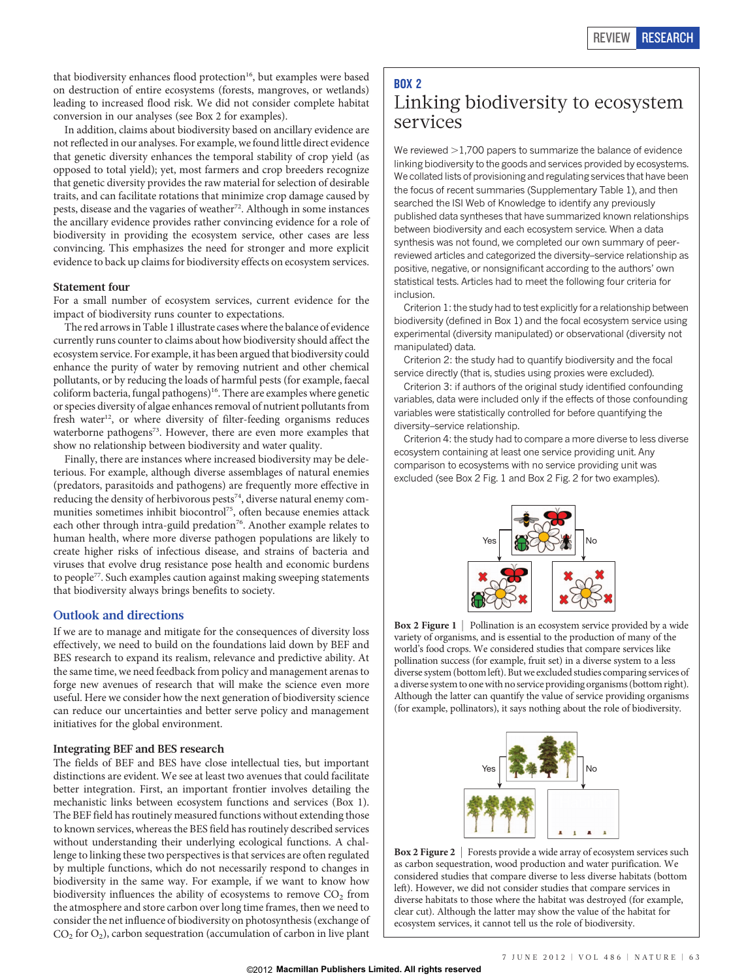that biodiversity enhances flood protection<sup>16</sup>, but examples were based on destruction of entire ecosystems (forests, mangroves, or wetlands) leading to increased flood risk. We did not consider complete habitat conversion in our analyses (see Box 2 for examples).

In addition, claims about biodiversity based on ancillary evidence are not reflected in our analyses. For example, we found little direct evidence that genetic diversity enhances the temporal stability of crop yield (as opposed to total yield); yet, most farmers and crop breeders recognize that genetic diversity provides the raw material for selection of desirable traits, and can facilitate rotations that minimize crop damage caused by pests, disease and the vagaries of weather<sup>72</sup>. Although in some instances the ancillary evidence provides rather convincing evidence for a role of biodiversity in providing the ecosystem service, other cases are less convincing. This emphasizes the need for stronger and more explicit evidence to back up claims for biodiversity effects on ecosystem services.

#### Statement four

For a small number of ecosystem services, current evidence for the impact of biodiversity runs counter to expectations.

The red arrows in Table 1 illustrate cases where the balance of evidence currently runs counter to claims about how biodiversity should affect the ecosystem service. For example, it has been argued that biodiversity could enhance the purity of water by removing nutrient and other chemical pollutants, or by reducing the loads of harmful pests (for example, faecal coliform bacteria, fungal pathogens)<sup>16</sup>. There are examples where genetic or species diversity of algae enhances removal of nutrient pollutants from fresh water<sup>12</sup>, or where diversity of filter-feeding organisms reduces waterborne pathogens<sup>73</sup>. However, there are even more examples that show no relationship between biodiversity and water quality.

Finally, there are instances where increased biodiversity may be deleterious. For example, although diverse assemblages of natural enemies (predators, parasitoids and pathogens) are frequently more effective in reducing the density of herbivorous pests<sup>74</sup>, diverse natural enemy communities sometimes inhibit biocontrol<sup>75</sup>, often because enemies attack each other through intra-guild predation<sup>76</sup>. Another example relates to human health, where more diverse pathogen populations are likely to create higher risks of infectious disease, and strains of bacteria and viruses that evolve drug resistance pose health and economic burdens to people<sup>77</sup>. Such examples caution against making sweeping statements that biodiversity always brings benefits to society.

#### Outlook and directions

If we are to manage and mitigate for the consequences of diversity loss effectively, we need to build on the foundations laid down by BEF and BES research to expand its realism, relevance and predictive ability. At the same time, we need feedback from policy and management arenas to forge new avenues of research that will make the science even more useful. Here we consider how the next generation of biodiversity science can reduce our uncertainties and better serve policy and management initiatives for the global environment.

#### Integrating BEF and BES research

The fields of BEF and BES have close intellectual ties, but important distinctions are evident. We see at least two avenues that could facilitate better integration. First, an important frontier involves detailing the mechanistic links between ecosystem functions and services (Box 1). The BEF field has routinely measured functions without extending those to known services, whereas the BES field has routinely described services without understanding their underlying ecological functions. A challenge to linking these two perspectives is that services are often regulated by multiple functions, which do not necessarily respond to changes in biodiversity in the same way. For example, if we want to know how biodiversity influences the ability of ecosystems to remove  $CO<sub>2</sub>$  from the atmosphere and store carbon over long time frames, then we need to consider the net influence of biodiversity on photosynthesis (exchange of  $CO<sub>2</sub>$  for  $O<sub>2</sub>$ ), carbon sequestration (accumulation of carbon in live plant

## BOX 2 Linking biodiversity to ecosystem services

We reviewed  $>1,700$  papers to summarize the balance of evidence linking biodiversity to the goods and services provided by ecosystems. We collated lists of provisioning and regulating services that have been the focus of recent summaries (Supplementary Table 1), and then searched the ISI Web of Knowledge to identify any previously published data syntheses that have summarized known relationships between biodiversity and each ecosystem service. When a data synthesis was not found, we completed our own summary of peerreviewed articles and categorized the diversity–service relationship as positive, negative, or nonsignificant according to the authors' own statistical tests. Articles had to meet the following four criteria for inclusion.

Criterion 1: the study had to test explicitly for a relationship between biodiversity (defined in Box 1) and the focal ecosystem service using experimental (diversity manipulated) or observational (diversity not manipulated) data.

Criterion 2: the study had to quantify biodiversity and the focal service directly (that is, studies using proxies were excluded).

Criterion 3: if authors of the original study identified confounding variables, data were included only if the effects of those confounding variables were statistically controlled for before quantifying the diversity–service relationship.

Criterion 4: the study had to compare a more diverse to less diverse ecosystem containing at least one service providing unit. Any comparison to ecosystems with no service providing unit was excluded (see Box 2 Fig. 1 and Box 2 Fig. 2 for two examples).



**Box 2 Figure 1** | Pollination is an ecosystem service provided by a wide variety of organisms, and is essential to the production of many of the world's food crops. We considered studies that compare services like pollination success (for example, fruit set) in a diverse system to a less diverse system (bottom left). But we excluded studies comparing services of a diverse system to one with no service providing organisms (bottom right). Although the latter can quantify the value of service providing organisms (for example, pollinators), it says nothing about the role of biodiversity.



Box 2 Figure 2 | Forests provide a wide array of ecosystem services such as carbon sequestration, wood production and water purification. We considered studies that compare diverse to less diverse habitats (bottom left). However, we did not consider studies that compare services in diverse habitats to those where the habitat was destroyed (for example, clear cut). Although the latter may show the value of the habitat for ecosystem services, it cannot tell us the role of biodiversity.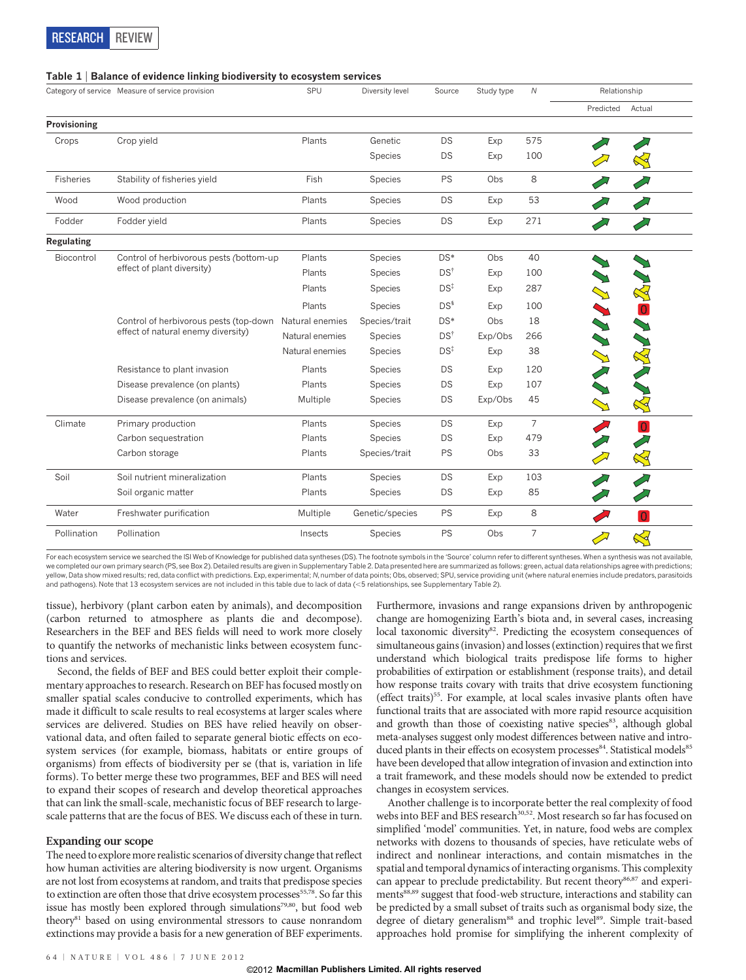#### Table 1 <sup>|</sup> Balance of evidence linking biodiversity to ecosystem services

|              | Category of service Measure of service provision                             | SPU             | Diversity level | Source          | Study type | ${\cal N}$     | Relationship |                  |
|--------------|------------------------------------------------------------------------------|-----------------|-----------------|-----------------|------------|----------------|--------------|------------------|
|              |                                                                              |                 |                 |                 |            |                | Predicted    | Actual           |
| Provisioning |                                                                              |                 |                 |                 |            |                |              |                  |
| Crops        | Crop yield                                                                   | Plants          | Genetic         | <b>DS</b>       | Exp        | 575            |              |                  |
|              |                                                                              |                 | Species         | DS              | Exp        | 100            |              |                  |
| Fisheries    | Stability of fisheries yield                                                 | Fish            | Species         | PS              | Obs        | 8              |              |                  |
| Wood         | Wood production                                                              | Plants          | Species         | <b>DS</b>       | Exp        | 53             |              |                  |
| Fodder       | Fodder yield                                                                 | Plants          | Species         | <b>DS</b>       | Exp        | 271            |              |                  |
| Regulating   |                                                                              |                 |                 |                 |            |                |              |                  |
| Biocontrol   | Control of herbivorous pests (bottom-up<br>effect of plant diversity)        | Plants          | <b>Species</b>  | DS*             | Obs        | 40             |              |                  |
|              |                                                                              | Plants          | <b>Species</b>  | DS <sup>†</sup> | Exp        | 100            |              |                  |
|              |                                                                              | Plants          | Species         | $DS^{\ddagger}$ | Exp        | 287            |              |                  |
|              |                                                                              | Plants          | <b>Species</b>  | $DS^{\$}$       | Exp        | 100            |              | $\sum_{i=1}^{n}$ |
|              | Control of herbivorous pests (top-down<br>effect of natural enemy diversity) | Natural enemies | Species/trait   | DS*             | Obs        | 18             |              |                  |
|              |                                                                              | Natural enemies | Species         | DS <sup>†</sup> | Exp/Obs    | 266            |              |                  |
|              |                                                                              | Natural enemies | Species         | $DS^{\ddagger}$ | Exp        | 38             |              | WAY              |
|              | Resistance to plant invasion                                                 | Plants          | Species         | DS              | Exp        | 120            |              |                  |
|              | Disease prevalence (on plants)                                               | Plants          | Species         | <b>DS</b>       | Exp        | 107            |              |                  |
|              | Disease prevalence (on animals)                                              | Multiple        | Species         | DS              | Exp/Obs    | 45             | $\sum$       | $\searrow$       |
| Climate      | Primary production                                                           | Plants          | Species         | <b>DS</b>       | Exp        | $\overline{7}$ |              |                  |
|              | Carbon sequestration                                                         | Plants          | Species         | <b>DS</b>       | Exp        | 479            |              |                  |
|              | Carbon storage                                                               | Plants          | Species/trait   | PS              | Obs        | 33             |              |                  |
| Soil         | Soil nutrient mineralization                                                 | Plants          | Species         | <b>DS</b>       | Exp        | 103            |              |                  |
|              | Soil organic matter                                                          | Plants          | Species         | DS              | Exp        | 85             |              |                  |
| Water        | Freshwater purification                                                      | Multiple        | Genetic/species | PS              | Exp        | 8              |              | 0                |
| Pollination  | Pollination                                                                  | Insects         | Species         | PS              | Obs        | $\overline{7}$ |              | $\bowtie$        |

For each ecosystem service we searched the ISI Web of Knowledge for published data syntheses (DS). The footnote symbols in the 'Source' column refer to different syntheses. When a synthesis was not available, we completed our own primary search (PS, see Box 2). Detailed results are given in Supplementary Table 2. Data presented here are summarized as follows: green, actual data relationships agree with predictions; yellow, Data show mixed results; red, data conflict with predictions. Exp, experimental; N, number of data points; Obs, observed; SPU, service providing unit (where natural enemies include predators, parasitoids and pathogens). Note that 13 ecosystem services are not included in this table due to lack of data (<5 relationships, see Supplementary Table 2).

tissue), herbivory (plant carbon eaten by animals), and decomposition (carbon returned to atmosphere as plants die and decompose). Researchers in the BEF and BES fields will need to work more closely to quantify the networks of mechanistic links between ecosystem functions and services.

Second, the fields of BEF and BES could better exploit their complementary approaches to research. Research on BEF has focused mostly on smaller spatial scales conducive to controlled experiments, which has made it difficult to scale results to real ecosystems at larger scales where services are delivered. Studies on BES have relied heavily on observational data, and often failed to separate general biotic effects on ecosystem services (for example, biomass, habitats or entire groups of organisms) from effects of biodiversity per se (that is, variation in life forms). To better merge these two programmes, BEF and BES will need to expand their scopes of research and develop theoretical approaches that can link the small-scale, mechanistic focus of BEF research to largescale patterns that are the focus of BES. We discuss each of these in turn.

#### Expanding our scope

The need to explore more realistic scenarios of diversity change that reflect how human activities are altering biodiversity is now urgent. Organisms are not lost from ecosystems at random, and traits that predispose species to extinction are often those that drive ecosystem processes<sup>55,78</sup>. So far this issue has mostly been explored through simulations<sup>79,80</sup>, but food web theory<sup>81</sup> based on using environmental stressors to cause nonrandom extinctions may provide a basis for a new generation of BEF experiments.

Furthermore, invasions and range expansions driven by anthropogenic change are homogenizing Earth's biota and, in several cases, increasing local taxonomic diversity<sup>82</sup>. Predicting the ecosystem consequences of simultaneous gains (invasion) and losses (extinction) requires that we first understand which biological traits predispose life forms to higher probabilities of extirpation or establishment (response traits), and detail how response traits covary with traits that drive ecosystem functioning (effect traits)<sup>55</sup>. For example, at local scales invasive plants often have functional traits that are associated with more rapid resource acquisition and growth than those of coexisting native species<sup>83</sup>, although global meta-analyses suggest only modest differences between native and introduced plants in their effects on ecosystem processes<sup>84</sup>. Statistical models<sup>85</sup> have been developed that allow integration of invasion and extinction into a trait framework, and these models should now be extended to predict changes in ecosystem services.

Another challenge is to incorporate better the real complexity of food webs into BEF and BES research<sup>30,52</sup>. Most research so far has focused on simplified 'model' communities. Yet, in nature, food webs are complex networks with dozens to thousands of species, have reticulate webs of indirect and nonlinear interactions, and contain mismatches in the spatial and temporal dynamics of interacting organisms. This complexity can appear to preclude predictability. But recent theory<sup>86,87</sup> and experiments<sup>88,89</sup> suggest that food-web structure, interactions and stability can be predicted by a small subset of traits such as organismal body size, the degree of dietary generalism<sup>88</sup> and trophic level<sup>89</sup>. Simple trait-based approaches hold promise for simplifying the inherent complexity of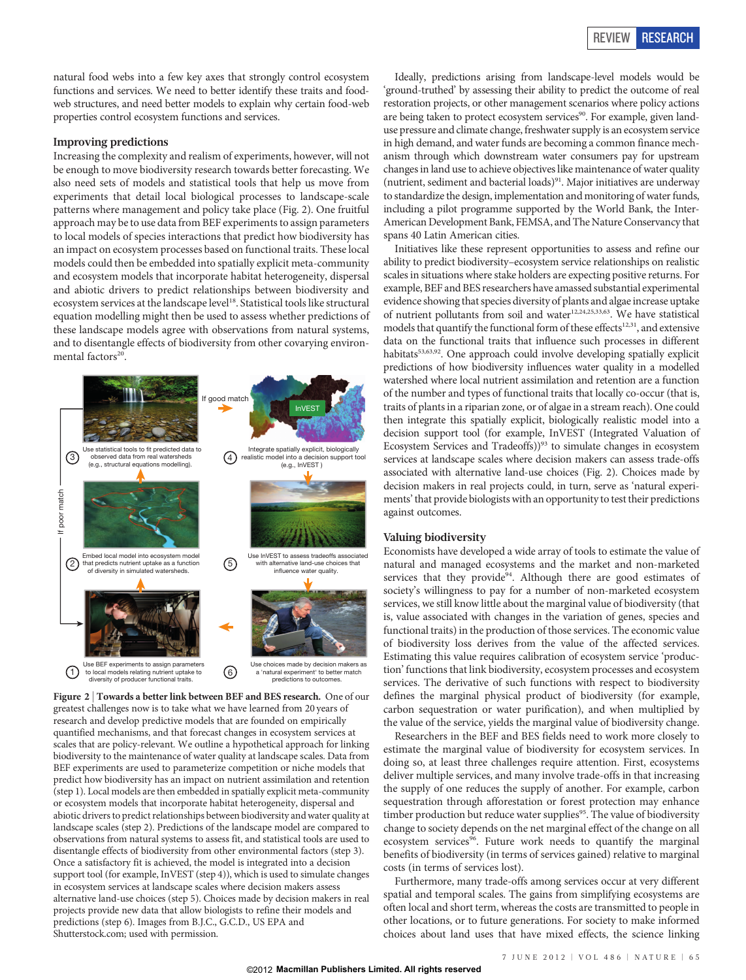natural food webs into a few key axes that strongly control ecosystem functions and services. We need to better identify these traits and foodweb structures, and need better models to explain why certain food-web properties control ecosystem functions and services.

#### Improving predictions

Increasing the complexity and realism of experiments, however, will not be enough to move biodiversity research towards better forecasting. We also need sets of models and statistical tools that help us move from experiments that detail local biological processes to landscape-scale patterns where management and policy take place (Fig. 2). One fruitful approach may be to use data from BEF experiments to assign parameters to local models of species interactions that predict how biodiversity has an impact on ecosystem processes based on functional traits. These local models could then be embedded into spatially explicit meta-community and ecosystem models that incorporate habitat heterogeneity, dispersal and abiotic drivers to predict relationships between biodiversity and ecosystem services at the landscape level<sup>18</sup>. Statistical tools like structural equation modelling might then be used to assess whether predictions of these landscape models agree with observations from natural systems, and to disentangle effects of biodiversity from other covarying environmental factors<sup>20</sup>.



Figure 2 | Towards a better link between BEF and BES research. One of our greatest challenges now is to take what we have learned from 20 years of research and develop predictive models that are founded on empirically quantified mechanisms, and that forecast changes in ecosystem services at scales that are policy-relevant. We outline a hypothetical approach for linking biodiversity to the maintenance of water quality at landscape scales. Data from BEF experiments are used to parameterize competition or niche models that predict how biodiversity has an impact on nutrient assimilation and retention (step 1). Local models are then embedded in spatially explicit meta-community or ecosystem models that incorporate habitat heterogeneity, dispersal and abiotic drivers to predict relationships between biodiversity and water quality at landscape scales (step 2). Predictions of the landscape model are compared to observations from natural systems to assess fit, and statistical tools are used to disentangle effects of biodiversity from other environmental factors (step 3). Once a satisfactory fit is achieved, the model is integrated into a decision support tool (for example, InVEST (step 4)), which is used to simulate changes in ecosystem services at landscape scales where decision makers assess alternative land-use choices (step 5). Choices made by decision makers in real projects provide new data that allow biologists to refine their models and predictions (step 6). Images from B.J.C., G.C.D., US EPA and [Shutterstock.com](http://dx.doi.org/10.1038/nature11118); used with permission.

Ideally, predictions arising from landscape-level models would be 'ground-truthed' by assessing their ability to predict the outcome of real restoration projects, or other management scenarios where policy actions are being taken to protect ecosystem services<sup>90</sup>. For example, given landuse pressure and climate change, freshwater supply is an ecosystem service in high demand, and water funds are becoming a common finance mechanism through which downstream water consumers pay for upstream changes in land use to achieve objectives like maintenance of water quality (nutrient, sediment and bacterial loads) $91$ . Major initiatives are underway to standardize the design, implementation and monitoring of water funds, including a pilot programme supported by the World Bank, the Inter-American Development Bank, FEMSA, and The Nature Conservancy that spans 40 Latin American cities.

Initiatives like these represent opportunities to assess and refine our ability to predict biodiversity–ecosystem service relationships on realistic scales in situations where stake holders are expecting positive returns. For example, BEF and BES researchers have amassed substantial experimental evidence showing that species diversity of plants and algae increase uptake of nutrient pollutants from soil and water<sup>12,24,25,33,63</sup>. We have statistical models that quantify the functional form of these effects<sup>12,31</sup>, and extensive data on the functional traits that influence such processes in different habitats<sup>53,63,92</sup>. One approach could involve developing spatially explicit predictions of how biodiversity influences water quality in a modelled watershed where local nutrient assimilation and retention are a function of the number and types of functional traits that locally co-occur (that is, traits of plants in a riparian zone, or of algae in a stream reach). One could then integrate this spatially explicit, biologically realistic model into a decision support tool (for example, InVEST (Integrated Valuation of Ecosystem Services and Tradeoffs))<sup>93</sup> to simulate changes in ecosystem services at landscape scales where decision makers can assess trade-offs associated with alternative land-use choices (Fig. 2). Choices made by decision makers in real projects could, in turn, serve as 'natural experiments' that provide biologists with an opportunity to test their predictions against outcomes.

#### Valuing biodiversity

Economists have developed a wide array of tools to estimate the value of natural and managed ecosystems and the market and non-marketed services that they provide<sup>94</sup>. Although there are good estimates of society's willingness to pay for a number of non-marketed ecosystem services, we still know little about the marginal value of biodiversity (that is, value associated with changes in the variation of genes, species and functional traits) in the production of those services. The economic value of biodiversity loss derives from the value of the affected services. Estimating this value requires calibration of ecosystem service 'production' functions that link biodiversity, ecosystem processes and ecosystem services. The derivative of such functions with respect to biodiversity defines the marginal physical product of biodiversity (for example, carbon sequestration or water purification), and when multiplied by the value of the service, yields the marginal value of biodiversity change.

Researchers in the BEF and BES fields need to work more closely to estimate the marginal value of biodiversity for ecosystem services. In doing so, at least three challenges require attention. First, ecosystems deliver multiple services, and many involve trade-offs in that increasing the supply of one reduces the supply of another. For example, carbon sequestration through afforestation or forest protection may enhance timber production but reduce water supplies<sup>95</sup>. The value of biodiversity change to society depends on the net marginal effect of the change on all ecosystem services<sup>96</sup>. Future work needs to quantify the marginal benefits of biodiversity (in terms of services gained) relative to marginal costs (in terms of services lost).

Furthermore, many trade-offs among services occur at very different spatial and temporal scales. The gains from simplifying ecosystems are often local and short term, whereas the costs are transmitted to people in other locations, or to future generations. For society to make informed choices about land uses that have mixed effects, the science linking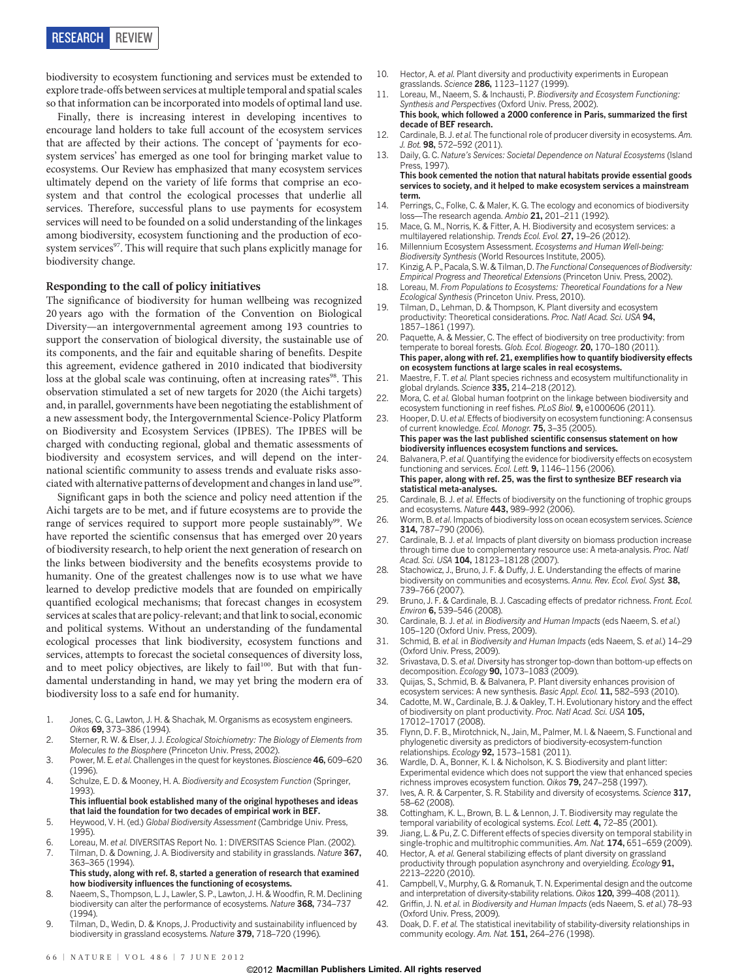biodiversity to ecosystem functioning and services must be extended to explore trade-offs between services at multiple temporal and spatial scales so that information can be incorporated into models of optimal land use.

Finally, there is increasing interest in developing incentives to encourage land holders to take full account of the ecosystem services that are affected by their actions. The concept of 'payments for ecosystem services' has emerged as one tool for bringing market value to ecosystems. Our Review has emphasized that many ecosystem services ultimately depend on the variety of life forms that comprise an ecosystem and that control the ecological processes that underlie all services. Therefore, successful plans to use payments for ecosystem services will need to be founded on a solid understanding of the linkages among biodiversity, ecosystem functioning and the production of ecosystem services<sup>97</sup>. This will require that such plans explicitly manage for biodiversity change.

#### Responding to the call of policy initiatives

The significance of biodiversity for human wellbeing was recognized 20 years ago with the formation of the Convention on Biological Diversity—an intergovernmental agreement among 193 countries to support the conservation of biological diversity, the sustainable use of its components, and the fair and equitable sharing of benefits. Despite this agreement, evidence gathered in 2010 indicated that biodiversity loss at the global scale was continuing, often at increasing rates<sup>98</sup>. This observation stimulated a set of new targets for 2020 (the Aichi targets) and, in parallel, governments have been negotiating the establishment of a new assessment body, the Intergovernmental Science-Policy Platform on Biodiversity and Ecosystem Services (IPBES). The IPBES will be charged with conducting regional, global and thematic assessments of biodiversity and ecosystem services, and will depend on the international scientific community to assess trends and evaluate risks associated with alternative patterns of development and changes in land use<sup>99</sup>.

Significant gaps in both the science and policy need attention if the Aichi targets are to be met, and if future ecosystems are to provide the range of services required to support more people sustainably<sup>99</sup>. We have reported the scientific consensus that has emerged over 20 years of biodiversity research, to help orient the next generation of research on the links between biodiversity and the benefits ecosystems provide to humanity. One of the greatest challenges now is to use what we have learned to develop predictive models that are founded on empirically quantified ecological mechanisms; that forecast changes in ecosystem services at scales that are policy-relevant; and that link to social, economic and political systems. Without an understanding of the fundamental ecological processes that link biodiversity, ecosystem functions and services, attempts to forecast the societal consequences of diversity loss, and to meet policy objectives, are likely to fail<sup>100</sup>. But with that fundamental understanding in hand, we may yet bring the modern era of biodiversity loss to a safe end for humanity.

- 1. Jones, C. G., Lawton, J. H. & Shachak, M. Organisms as ecosystem engineers. Oikos 69, 373–386 (1994).
- 2. Sterner, R. W. & Elser, J. J. Ecological Stoichiometry: The Biology of Elements from Molecules to the Biosphere (Princeton Univ. Press, 2002).
- 3. Power, M. E. et al. Challenges in the quest for keystones. Bioscience 46, 609-620 (1996).
- 4. Schulze, E. D. & Mooney, H. A. Biodiversity and Ecosystem Function (Springer, 1993).

This influential book established many of the original hypotheses and ideas that laid the foundation for two decades of empirical work in BEF.

- 5. Heywood, V. H. (ed.) Global Biodiversity Assessment (Cambridge Univ. Press, 1995).
- 6. Loreau, M. et al. DIVERSITAS Report No. 1: DIVERSITAS Science Plan. (2002).
- 7. Tilman, D. & Downing, J. A. Biodiversity and stability in grasslands. Nature 367, 363–365 (1994).

This study, along with ref. 8, started a generation of research that examined how biodiversity influences the functioning of ecosystems.

- 8. Naeem, S., Thompson, L. J., Lawler, S. P., Lawton, J. H. & Woodfin, R. M. Declining biodiversity can alter the performance of ecosystems. Nature 368, 734–737 (1994).
- Tilman, D., Wedin, D. & Knops, J. Productivity and sustainability influenced by biodiversity in grassland ecosystems. Nature 379, 718–720 (1996).
- 10. Hector, A. et al. Plant diversity and productivity experiments in European grasslands. Science 286, 1123-1127 (1999).
- 11. Loreau, M., Naeem, S. & Inchausti, P. Biodiversity and Ecosystem Functioning: Synthesis and Perspectives (Oxford Univ. Press, 2002). This book, which followed a 2000 conference in Paris, summarized the first decade of BEF research.
- 12. Cardinale, B. J. et al. The functional role of producer diversity in ecosystems. Am. J. Bot. 98, 572-592 (2011).
- 13. Daily, G. C. Nature's Services: Societal Dependence on Natural Ecosystems (Island Press, 1997).

This book cemented the notion that natural habitats provide essential goods services to society, and it helped to make ecosystem services a mainstream term.

- 14. Perrings, C., Folke, C. & Maler, K. G. The ecology and economics of biodiversity<br>loss—The research agenda. Ambio **21,** 201–211 (1992).
- 15. Mace, G. M., Norris, K. & Fitter, A. H. Biodiversity and ecosystem services: a multilayered relationship. Trends Ecol. Evol. 27, 19–26 (2012).
- 16. Millennium Ecosystem Assessment. Ecosystems and Human Well-being: Biodiversity Synthesis (World Resources Institute, 2005).
- 17. Kinzig, A. P., Pacala, S. W. & Tilman, D. The Functional Consequences of Biodiversity: Empirical Progress and Theoretical Extensions (Princeton Univ. Press, 2002).
- 18. Loreau, M. From Populations to Ecosystems: Theoretical Foundations for a New Ecological Synthesis (Princeton Univ. Press, 2010).
- 19. Tilman, D., Lehman, D. & Thompson, K. Plant diversity and ecosystem productivity: Theoretical considerations. Proc. Natl Acad. Sci. USA 94, 1857–1861 (1997).
- 20. Paquette, A. & Messier, C. The effect of biodiversity on tree productivity: from temperate to boreal forests. Glob. Ecol. Biogeogr. 20, 170-180 (2011) This paper, along with ref. 21, exemplifies how to quantify biodiversity effects on ecosystem functions at large scales in real ecosystems.
- 21. Maestre, F. T. et al. Plant species richness and ecosystem multifunctionality in global drylands. Science 335, 214–218 (2012).
- 22. Mora, C. et al. Global human footprint on the linkage between biodiversity and ecosystem functioning in reef fishes. PLoS Biol. 9, e1000606 (2011).
- 23. Hooper, D. U. et al. Effects of biodiversity on ecosystem functioning: A consensus of current knowledge. Ecol. Monogr. 75, 3–35 (2005). This paper was the last published scientific consensus statement on how biodiversity influences ecosystem functions and services.
- 24. Balvanera, P. et al. Quantifying the evidence for biodiversity effects on ecosystem functioning and services. Ecol. Lett. 9, 1146-1156 (2006). This paper, along with ref. 25, was the first to synthesize BEF research via
- statistical meta-analyses. Cardinale, B. J. et al. Effects of biodiversity on the functioning of trophic groups and ecosystems. Nature 443, 989-992 (2006).
- 26. Worm, B. et al. Impacts of biodiversity loss on ocean ecosystem services. Science 314, 787–790 (2006).
- 27. Cardinale, B. J. et al. Impacts of plant diversity on biomass production increase through time due to complementary resource use: A meta-analysis. Proc. Natl Acad. Sci. USA 104, 18123-18128 (2007).
- 28. Stachowicz, J., Bruno, J. F. & Duffy, J. E. Understanding the effects of marine biodiversity on communities and ecosystems. Annu. Rev. Ecol. Evol. Syst. 38, 739–766 (2007).
- 29. Bruno, J. F. & Cardinale, B. J. Cascading effects of predator richness. Front. Ecol. Environ 6, 539–546 (2008).
- 30. Cardinale, B. J. et al. in Biodiversity and Human Impacts (eds Naeem, S. et al.) 105–120 (Oxford Univ. Press, 2009).
- 31. Schmid, B. et al. in Biodiversity and Human Impacts (eds Naeem, S. et al.) 14–29 (Oxford Univ. Press, 2009).
- 32. Srivastava, D. S. et al. Diversity has stronger top-down than bottom-up effects on decomposition. Ecology 90, 1073–1083 (2009).
- 33. Quijas, S., Schmid, B. & Balvanera, P. Plant diversity enhances provision of ecosystem services: A new synthesis. Basic Appl. Ecol. 11, 582-593 (2010).
- 34. Cadotte, M. W., Cardinale, B. J. & Oakley, T. H. Evolutionary history and the effect of biodiversity on plant productivity. Proc. Natl Acad. Sci. USA 105, 17012–17017 (2008).
- 35. Flynn, D. F. B., Mirotchnick, N., Jain, M., Palmer, M. I. & Naeem, S. Functional and phylogenetic diversity as predictors of biodiversity-ecosystem-function relationships. Ecology 92, 1573-1581 (2011).
- 36. Wardle, D. A., Bonner, K. I. & Nicholson, K. S. Biodiversity and plant litter: Experimental evidence which does not support the view that enhanced species richness improves ecosystem function. Oikos 79, 247–258 (1997).
- 37. Ives, A. R. & Carpenter, S. R. Stability and diversity of ecosystems. Science 317, 58–62 (2008).
- 38. Cottingham, K. L., Brown, B. L. & Lennon, J. T. Biodiversity may regulate the temporal variability of ecological systems. Ecol. Lett. 4, 72-85 (2001). 39. Jiang, L. & Pu, Z. C. Different effects of species diversity on temporal stability in
- single-trophic and multitrophic communities. Am. Nat. 174, 651–659 (2009).
- 40. Hector, A. et al. General stabilizing effects of plant diversity on grassland productivity through population asynchrony and overyielding. Ecology 91, 2213–2220 (2010).
- 41. Campbell, V., Murphy, G. & Romanuk, T. N. Experimental design and the outcome and interpretation of diversity-stability relations. Oikos 120, 399-408 (2011)
- 42. Griffin, J. N. et al. in Biodiversity and Human Impacts (eds Naeem, S. et al.) 78–93 (Oxford Univ. Press, 2009).
- 43. Doak, D. F. et al. The statistical inevitability of stability-diversity relationships in community ecology. Am. Nat. 151, 264-276 (1998).